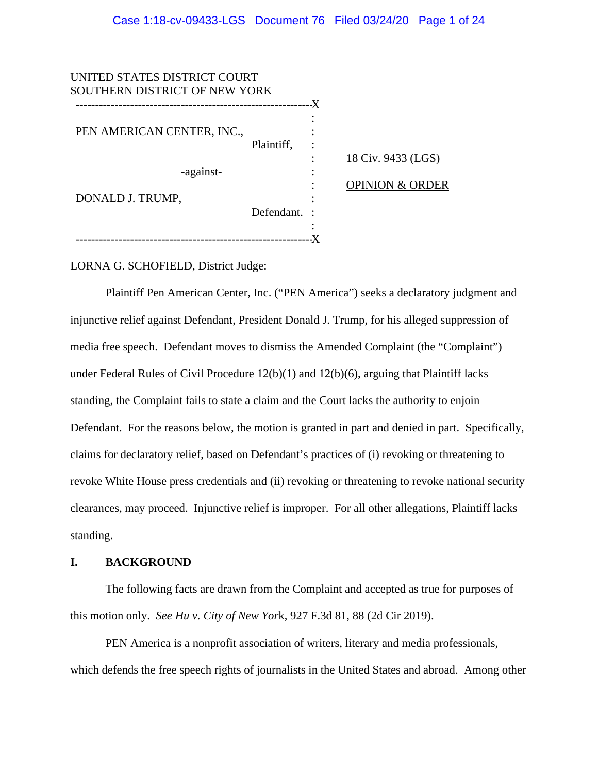| UNITED STATES DISTRICT COURT<br>SOUTHERN DISTRICT OF NEW YORK |              | .X |                            |
|---------------------------------------------------------------|--------------|----|----------------------------|
| PEN AMERICAN CENTER, INC.,                                    | Plaintiff,   |    | 18 Civ. 9433 (LGS)         |
| -against-<br>DONALD J. TRUMP,                                 |              |    | <b>OPINION &amp; ORDER</b> |
|                                                               | Defendant. : |    |                            |
|                                                               |              |    |                            |

LORNA G. SCHOFIELD, District Judge:

Plaintiff Pen American Center, Inc. ("PEN America") seeks a declaratory judgment and injunctive relief against Defendant, President Donald J. Trump, for his alleged suppression of media free speech. Defendant moves to dismiss the Amended Complaint (the "Complaint") under Federal Rules of Civil Procedure 12(b)(1) and 12(b)(6), arguing that Plaintiff lacks standing, the Complaint fails to state a claim and the Court lacks the authority to enjoin Defendant. For the reasons below, the motion is granted in part and denied in part. Specifically, claims for declaratory relief, based on Defendant's practices of (i) revoking or threatening to revoke White House press credentials and (ii) revoking or threatening to revoke national security clearances, may proceed. Injunctive relief is improper. For all other allegations, Plaintiff lacks standing.

# **I. BACKGROUND**

The following facts are drawn from the Complaint and accepted as true for purposes of this motion only. *See Hu v. City of New Yor*k, 927 F.3d 81, 88 (2d Cir 2019).

PEN America is a nonprofit association of writers, literary and media professionals, which defends the free speech rights of journalists in the United States and abroad. Among other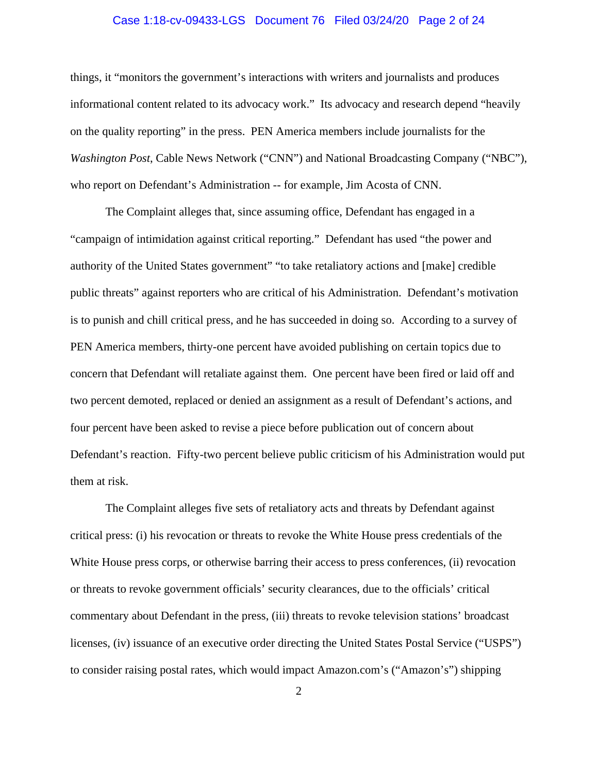## Case 1:18-cv-09433-LGS Document 76 Filed 03/24/20 Page 2 of 24

things, it "monitors the government's interactions with writers and journalists and produces informational content related to its advocacy work." Its advocacy and research depend "heavily on the quality reporting" in the press. PEN America members include journalists for the *Washington Post*, Cable News Network ("CNN") and National Broadcasting Company ("NBC"), who report on Defendant's Administration -- for example, Jim Acosta of CNN.

The Complaint alleges that, since assuming office, Defendant has engaged in a "campaign of intimidation against critical reporting." Defendant has used "the power and authority of the United States government" "to take retaliatory actions and [make] credible public threats" against reporters who are critical of his Administration. Defendant's motivation is to punish and chill critical press, and he has succeeded in doing so. According to a survey of PEN America members, thirty-one percent have avoided publishing on certain topics due to concern that Defendant will retaliate against them. One percent have been fired or laid off and two percent demoted, replaced or denied an assignment as a result of Defendant's actions, and four percent have been asked to revise a piece before publication out of concern about Defendant's reaction. Fifty-two percent believe public criticism of his Administration would put them at risk.

The Complaint alleges five sets of retaliatory acts and threats by Defendant against critical press: (i) his revocation or threats to revoke the White House press credentials of the White House press corps, or otherwise barring their access to press conferences, (ii) revocation or threats to revoke government officials' security clearances, due to the officials' critical commentary about Defendant in the press, (iii) threats to revoke television stations' broadcast licenses, (iv) issuance of an executive order directing the United States Postal Service ("USPS") to consider raising postal rates, which would impact Amazon.com's ("Amazon's") shipping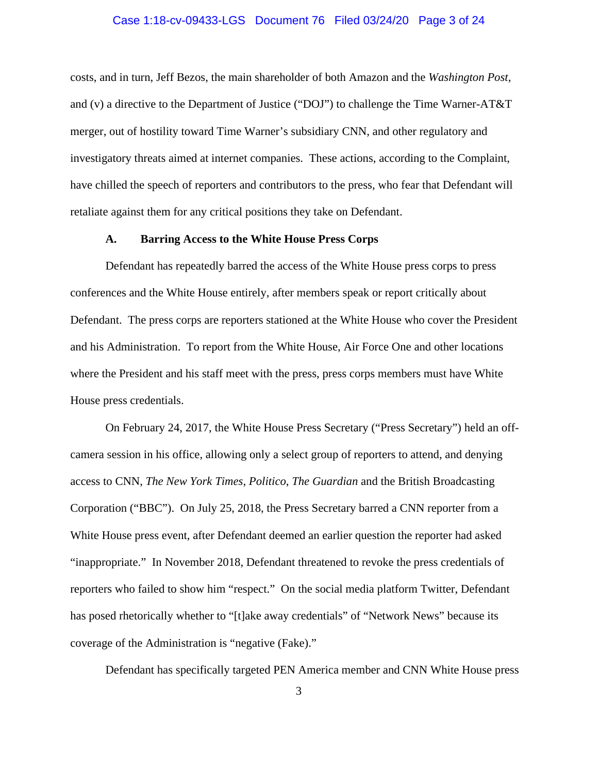## Case 1:18-cv-09433-LGS Document 76 Filed 03/24/20 Page 3 of 24

costs, and in turn, Jeff Bezos, the main shareholder of both Amazon and the *Washington Post*, and (v) a directive to the Department of Justice ("DOJ") to challenge the Time Warner-AT&T merger, out of hostility toward Time Warner's subsidiary CNN, and other regulatory and investigatory threats aimed at internet companies. These actions, according to the Complaint, have chilled the speech of reporters and contributors to the press, who fear that Defendant will retaliate against them for any critical positions they take on Defendant.

## **A. Barring Access to the White House Press Corps**

Defendant has repeatedly barred the access of the White House press corps to press conferences and the White House entirely, after members speak or report critically about Defendant. The press corps are reporters stationed at the White House who cover the President and his Administration. To report from the White House, Air Force One and other locations where the President and his staff meet with the press, press corps members must have White House press credentials.

On February 24, 2017, the White House Press Secretary ("Press Secretary") held an offcamera session in his office, allowing only a select group of reporters to attend, and denying access to CNN, *The New York Times*, *Politico*, *The Guardian* and the British Broadcasting Corporation ("BBC"). On July 25, 2018, the Press Secretary barred a CNN reporter from a White House press event, after Defendant deemed an earlier question the reporter had asked "inappropriate." In November 2018, Defendant threatened to revoke the press credentials of reporters who failed to show him "respect." On the social media platform Twitter, Defendant has posed rhetorically whether to "[t]ake away credentials" of "Network News" because its coverage of the Administration is "negative (Fake)."

Defendant has specifically targeted PEN America member and CNN White House press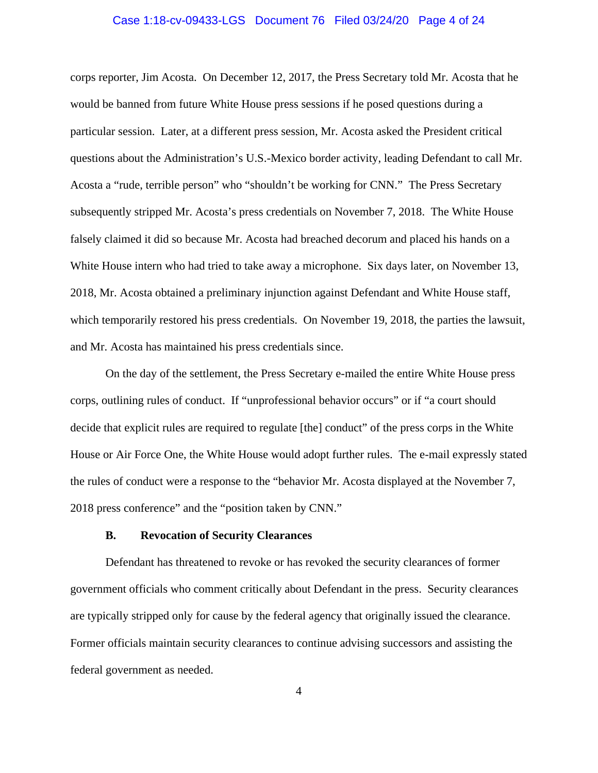## Case 1:18-cv-09433-LGS Document 76 Filed 03/24/20 Page 4 of 24

corps reporter, Jim Acosta. On December 12, 2017, the Press Secretary told Mr. Acosta that he would be banned from future White House press sessions if he posed questions during a particular session. Later, at a different press session, Mr. Acosta asked the President critical questions about the Administration's U.S.-Mexico border activity, leading Defendant to call Mr. Acosta a "rude, terrible person" who "shouldn't be working for CNN." The Press Secretary subsequently stripped Mr. Acosta's press credentials on November 7, 2018. The White House falsely claimed it did so because Mr. Acosta had breached decorum and placed his hands on a White House intern who had tried to take away a microphone. Six days later, on November 13, 2018, Mr. Acosta obtained a preliminary injunction against Defendant and White House staff, which temporarily restored his press credentials. On November 19, 2018, the parties the lawsuit, and Mr. Acosta has maintained his press credentials since.

On the day of the settlement, the Press Secretary e-mailed the entire White House press corps, outlining rules of conduct. If "unprofessional behavior occurs" or if "a court should decide that explicit rules are required to regulate [the] conduct" of the press corps in the White House or Air Force One, the White House would adopt further rules. The e-mail expressly stated the rules of conduct were a response to the "behavior Mr. Acosta displayed at the November 7, 2018 press conference" and the "position taken by CNN."

# **B. Revocation of Security Clearances**

Defendant has threatened to revoke or has revoked the security clearances of former government officials who comment critically about Defendant in the press. Security clearances are typically stripped only for cause by the federal agency that originally issued the clearance. Former officials maintain security clearances to continue advising successors and assisting the federal government as needed.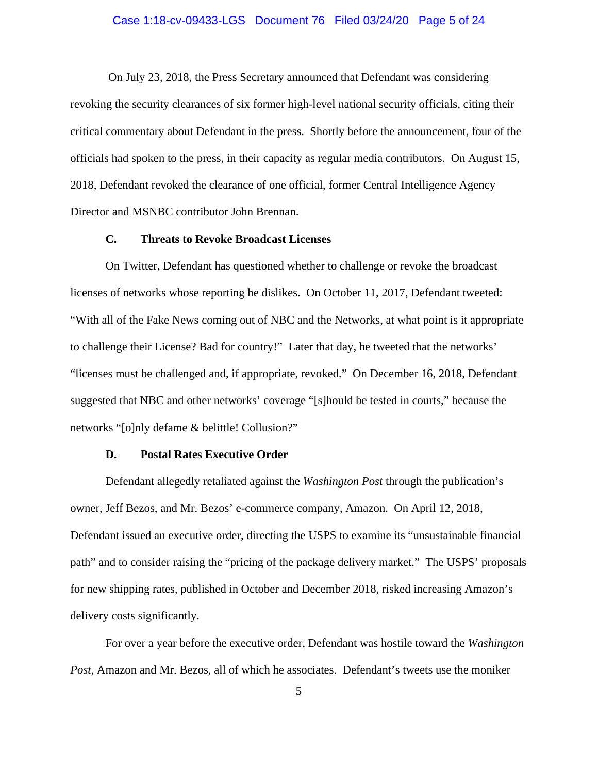## Case 1:18-cv-09433-LGS Document 76 Filed 03/24/20 Page 5 of 24

On July 23, 2018, the Press Secretary announced that Defendant was considering revoking the security clearances of six former high-level national security officials, citing their critical commentary about Defendant in the press. Shortly before the announcement, four of the officials had spoken to the press, in their capacity as regular media contributors. On August 15, 2018, Defendant revoked the clearance of one official, former Central Intelligence Agency Director and MSNBC contributor John Brennan.

#### **C. Threats to Revoke Broadcast Licenses**

On Twitter, Defendant has questioned whether to challenge or revoke the broadcast licenses of networks whose reporting he dislikes. On October 11, 2017, Defendant tweeted: "With all of the Fake News coming out of NBC and the Networks, at what point is it appropriate to challenge their License? Bad for country!" Later that day, he tweeted that the networks' "licenses must be challenged and, if appropriate, revoked." On December 16, 2018, Defendant suggested that NBC and other networks' coverage "[s]hould be tested in courts," because the networks "[o]nly defame & belittle! Collusion?"

#### **D. Postal Rates Executive Order**

Defendant allegedly retaliated against the *Washington Post* through the publication's owner, Jeff Bezos, and Mr. Bezos' e-commerce company, Amazon. On April 12, 2018, Defendant issued an executive order, directing the USPS to examine its "unsustainable financial path" and to consider raising the "pricing of the package delivery market." The USPS' proposals for new shipping rates, published in October and December 2018, risked increasing Amazon's delivery costs significantly.

For over a year before the executive order, Defendant was hostile toward the *Washington Post*, Amazon and Mr. Bezos, all of which he associates. Defendant's tweets use the moniker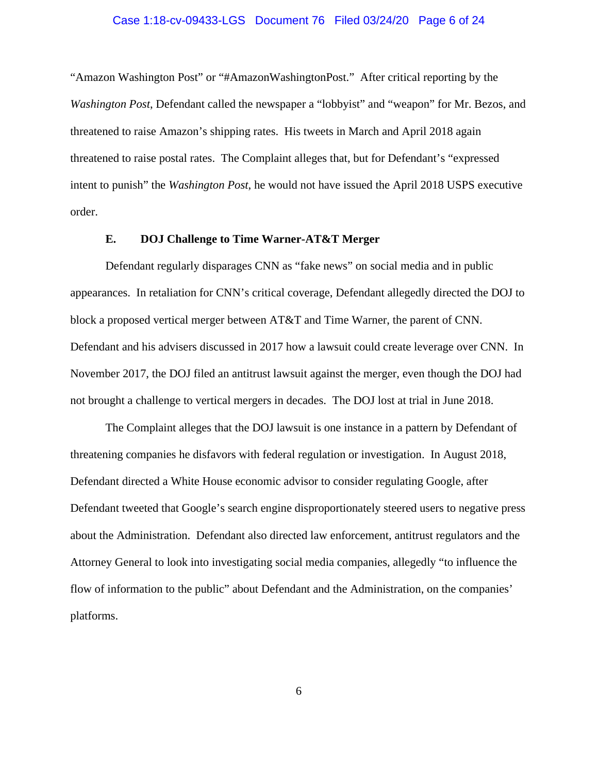## Case 1:18-cv-09433-LGS Document 76 Filed 03/24/20 Page 6 of 24

"Amazon Washington Post" or "#AmazonWashingtonPost." After critical reporting by the *Washington Post*, Defendant called the newspaper a "lobbyist" and "weapon" for Mr. Bezos, and threatened to raise Amazon's shipping rates. His tweets in March and April 2018 again threatened to raise postal rates. The Complaint alleges that, but for Defendant's "expressed intent to punish" the *Washington Post*, he would not have issued the April 2018 USPS executive order.

## **E. DOJ Challenge to Time Warner-AT&T Merger**

Defendant regularly disparages CNN as "fake news" on social media and in public appearances. In retaliation for CNN's critical coverage, Defendant allegedly directed the DOJ to block a proposed vertical merger between AT&T and Time Warner, the parent of CNN. Defendant and his advisers discussed in 2017 how a lawsuit could create leverage over CNN. In November 2017, the DOJ filed an antitrust lawsuit against the merger, even though the DOJ had not brought a challenge to vertical mergers in decades. The DOJ lost at trial in June 2018.

The Complaint alleges that the DOJ lawsuit is one instance in a pattern by Defendant of threatening companies he disfavors with federal regulation or investigation. In August 2018, Defendant directed a White House economic advisor to consider regulating Google, after Defendant tweeted that Google's search engine disproportionately steered users to negative press about the Administration. Defendant also directed law enforcement, antitrust regulators and the Attorney General to look into investigating social media companies, allegedly "to influence the flow of information to the public" about Defendant and the Administration, on the companies' platforms.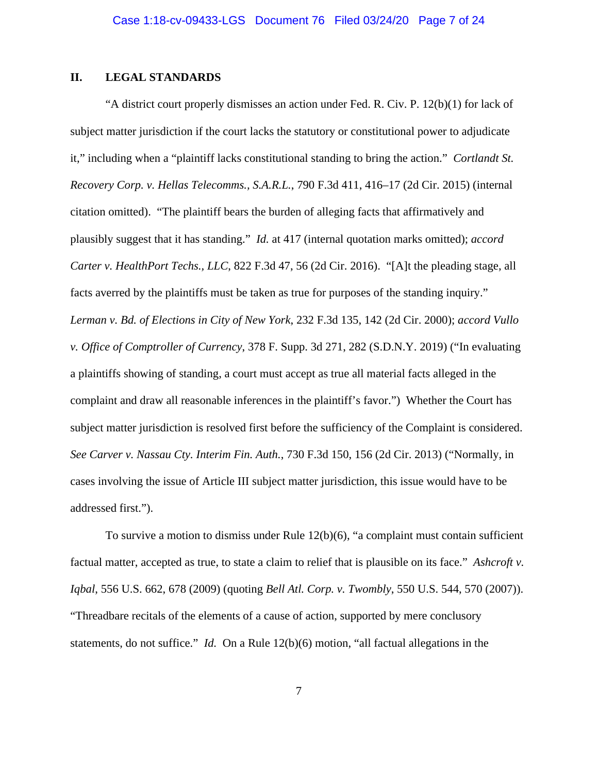# **II. LEGAL STANDARDS**

"A district court properly dismisses an action under Fed. R. Civ. P. 12(b)(1) for lack of subject matter jurisdiction if the court lacks the statutory or constitutional power to adjudicate it," including when a "plaintiff lacks constitutional standing to bring the action." *Cortlandt St. Recovery Corp. v. Hellas Telecomms., S.A.R.L.*, 790 F.3d 411, 416–17 (2d Cir. 2015) (internal citation omitted). "The plaintiff bears the burden of alleging facts that affirmatively and plausibly suggest that it has standing." *Id.* at 417 (internal quotation marks omitted); *accord Carter v. HealthPort Techs., LLC*, 822 F.3d 47, 56 (2d Cir. 2016). "[A]t the pleading stage, all facts averred by the plaintiffs must be taken as true for purposes of the standing inquiry." *Lerman v. Bd. of Elections in City of New York*, 232 F.3d 135, 142 (2d Cir. 2000); *accord Vullo v. Office of Comptroller of Currency*, 378 F. Supp. 3d 271, 282 (S.D.N.Y. 2019) ("In evaluating a plaintiffs showing of standing, a court must accept as true all material facts alleged in the complaint and draw all reasonable inferences in the plaintiff's favor.") Whether the Court has subject matter jurisdiction is resolved first before the sufficiency of the Complaint is considered. *See Carver v. Nassau Cty. Interim Fin. Auth.*, 730 F.3d 150, 156 (2d Cir. 2013) ("Normally, in cases involving the issue of Article III subject matter jurisdiction, this issue would have to be addressed first.").

To survive a motion to dismiss under Rule 12(b)(6), "a complaint must contain sufficient factual matter, accepted as true, to state a claim to relief that is plausible on its face." *Ashcroft v. Iqbal*, 556 U.S. 662, 678 (2009) (quoting *Bell Atl. Corp. v. Twombly*, 550 U.S. 544, 570 (2007)). "Threadbare recitals of the elements of a cause of action, supported by mere conclusory statements, do not suffice." *Id.* On a Rule 12(b)(6) motion, "all factual allegations in the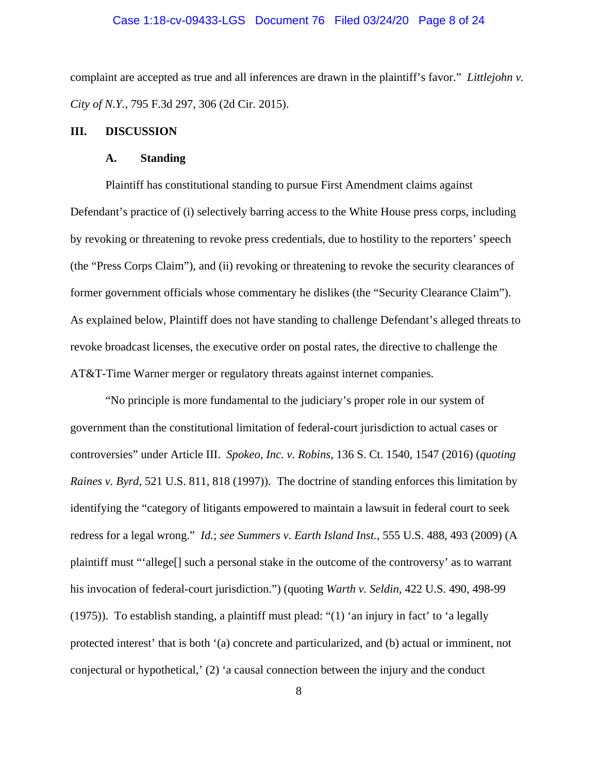## Case 1:18-cv-09433-LGS Document 76 Filed 03/24/20 Page 8 of 24

complaint are accepted as true and all inferences are drawn in the plaintiff's favor." *Littlejohn v. City of N.Y.*, 795 F.3d 297, 306 (2d Cir. 2015).

#### **III. DISCUSSION**

#### **A. Standing**

Plaintiff has constitutional standing to pursue First Amendment claims against Defendant's practice of (i) selectively barring access to the White House press corps, including by revoking or threatening to revoke press credentials, due to hostility to the reporters' speech (the "Press Corps Claim"), and (ii) revoking or threatening to revoke the security clearances of former government officials whose commentary he dislikes (the "Security Clearance Claim"). As explained below, Plaintiff does not have standing to challenge Defendant's alleged threats to revoke broadcast licenses, the executive order on postal rates, the directive to challenge the AT&T-Time Warner merger or regulatory threats against internet companies.

"No principle is more fundamental to the judiciary's proper role in our system of government than the constitutional limitation of federal-court jurisdiction to actual cases or controversies" under Article III. *Spokeo, Inc. v. Robins*, 136 S. Ct. 1540, 1547 (2016) (*quoting Raines v. Byrd*, 521 U.S. 811, 818 (1997)). The doctrine of standing enforces this limitation by identifying the "category of litigants empowered to maintain a lawsuit in federal court to seek redress for a legal wrong." *Id.*; *see Summers v. Earth Island Inst.,* 555 U.S. 488, 493 (2009) (A plaintiff must "'allege[] such a personal stake in the outcome of the controversy' as to warrant his invocation of federal-court jurisdiction.") (quoting *Warth v. Seldin*, 422 U.S. 490, 498-99 (1975)).To establish standing, a plaintiff must plead: "(1) 'an injury in fact' to 'a legally protected interest' that is both '(a) concrete and particularized, and (b) actual or imminent, not conjectural or hypothetical,' (2) 'a causal connection between the injury and the conduct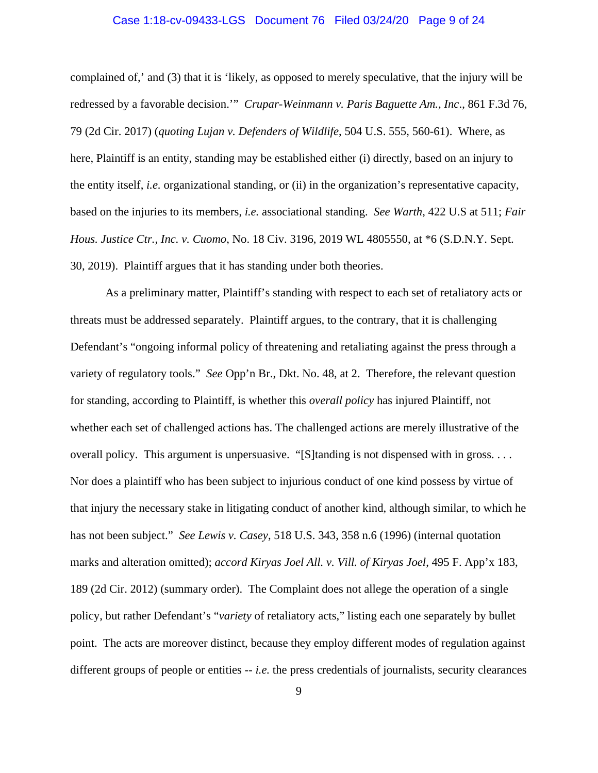## Case 1:18-cv-09433-LGS Document 76 Filed 03/24/20 Page 9 of 24

complained of,' and (3) that it is 'likely, as opposed to merely speculative, that the injury will be redressed by a favorable decision.'" *Crupar-Weinmann v. Paris Baguette Am., Inc*., 861 F.3d 76, 79 (2d Cir. 2017) (*quoting Lujan v. Defenders of Wildlife*, 504 U.S. 555, 560-61). Where, as here, Plaintiff is an entity, standing may be established either (i) directly, based on an injury to the entity itself, *i.e.* organizational standing, or (ii) in the organization's representative capacity, based on the injuries to its members, *i.e.* associational standing. *See Warth*, 422 U.S at 511; *Fair Hous. Justice Ctr., Inc. v. Cuomo*, No. 18 Civ. 3196, 2019 WL 4805550, at \*6 (S.D.N.Y. Sept. 30, 2019). Plaintiff argues that it has standing under both theories.

As a preliminary matter, Plaintiff's standing with respect to each set of retaliatory acts or threats must be addressed separately. Plaintiff argues, to the contrary, that it is challenging Defendant's "ongoing informal policy of threatening and retaliating against the press through a variety of regulatory tools." *See* Opp'n Br., Dkt. No. 48, at 2. Therefore, the relevant question for standing, according to Plaintiff, is whether this *overall policy* has injured Plaintiff, not whether each set of challenged actions has. The challenged actions are merely illustrative of the overall policy. This argument is unpersuasive. "[S]tanding is not dispensed with in gross. . . . Nor does a plaintiff who has been subject to injurious conduct of one kind possess by virtue of that injury the necessary stake in litigating conduct of another kind, although similar, to which he has not been subject." *See Lewis v. Casey*, 518 U.S. 343, 358 n.6 (1996) (internal quotation marks and alteration omitted); *accord Kiryas Joel All. v. Vill. of Kiryas Joel*, 495 F. App'x 183, 189 (2d Cir. 2012) (summary order). The Complaint does not allege the operation of a single policy, but rather Defendant's "*variety* of retaliatory acts," listing each one separately by bullet point. The acts are moreover distinct, because they employ different modes of regulation against different groups of people or entities -- *i.e.* the press credentials of journalists, security clearances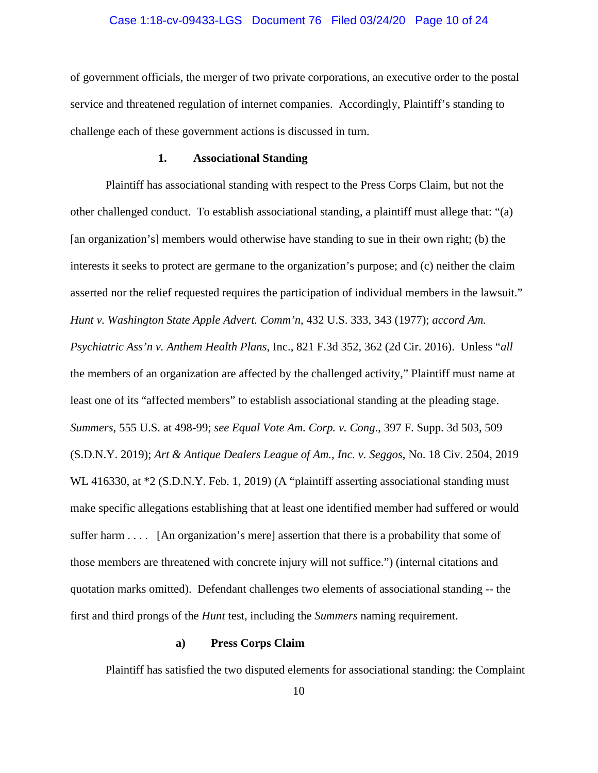## Case 1:18-cv-09433-LGS Document 76 Filed 03/24/20 Page 10 of 24

of government officials, the merger of two private corporations, an executive order to the postal service and threatened regulation of internet companies. Accordingly, Plaintiff's standing to challenge each of these government actions is discussed in turn.

#### **1. Associational Standing**

Plaintiff has associational standing with respect to the Press Corps Claim, but not the other challenged conduct. To establish associational standing, a plaintiff must allege that: "(a) [an organization's] members would otherwise have standing to sue in their own right; (b) the interests it seeks to protect are germane to the organization's purpose; and (c) neither the claim asserted nor the relief requested requires the participation of individual members in the lawsuit." *Hunt v. Washington State Apple Advert. Comm'n*, 432 U.S. 333, 343 (1977); *accord Am. Psychiatric Ass'n v. Anthem Health Plans*, Inc., 821 F.3d 352, 362 (2d Cir. 2016). Unless "*all* the members of an organization are affected by the challenged activity," Plaintiff must name at least one of its "affected members" to establish associational standing at the pleading stage. *Summers*, 555 U.S. at 498-99; *see Equal Vote Am. Corp. v. Cong*., 397 F. Supp. 3d 503, 509 (S.D.N.Y. 2019); *Art & Antique Dealers League of Am., Inc. v. Seggos*, No. 18 Civ. 2504, 2019 WL 416330, at  $*2$  (S.D.N.Y. Feb. 1, 2019) (A "plaintiff asserting associational standing must make specific allegations establishing that at least one identified member had suffered or would suffer harm . . . . [An organization's mere] assertion that there is a probability that some of those members are threatened with concrete injury will not suffice.") (internal citations and quotation marks omitted). Defendant challenges two elements of associational standing -- the first and third prongs of the *Hunt* test, including the *Summers* naming requirement.

# **a) Press Corps Claim**

Plaintiff has satisfied the two disputed elements for associational standing: the Complaint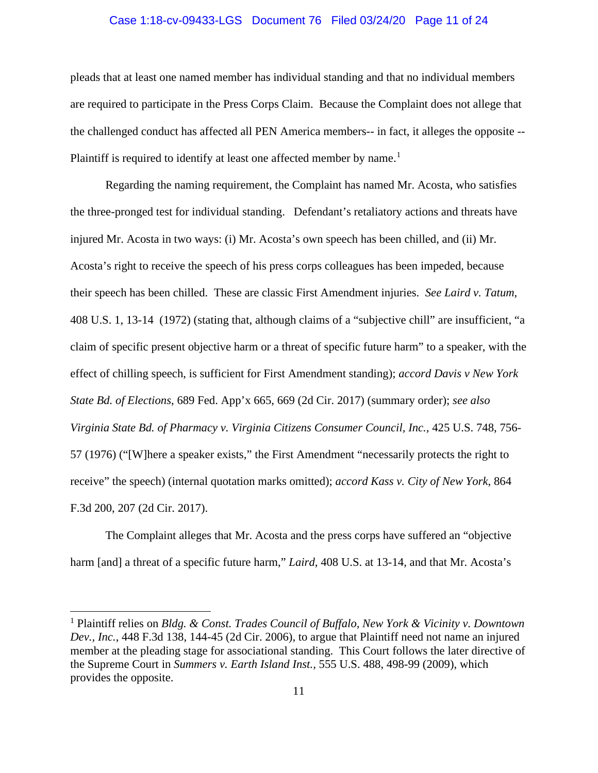## Case 1:18-cv-09433-LGS Document 76 Filed 03/24/20 Page 11 of 24

pleads that at least one named member has individual standing and that no individual members are required to participate in the Press Corps Claim. Because the Complaint does not allege that the challenged conduct has affected all PEN America members-- in fact, it alleges the opposite -- Plaintiff is required to identify at least one affected member by name.<sup>1</sup>

Regarding the naming requirement, the Complaint has named Mr. Acosta, who satisfies the three-pronged test for individual standing. Defendant's retaliatory actions and threats have injured Mr. Acosta in two ways: (i) Mr. Acosta's own speech has been chilled, and (ii) Mr. Acosta's right to receive the speech of his press corps colleagues has been impeded, because their speech has been chilled. These are classic First Amendment injuries. *See Laird v. Tatum*, 408 U.S. 1, 13-14 (1972) (stating that, although claims of a "subjective chill" are insufficient, "a claim of specific present objective harm or a threat of specific future harm" to a speaker, with the effect of chilling speech, is sufficient for First Amendment standing); *accord Davis v New York State Bd. of Elections*, 689 Fed. App'x 665, 669 (2d Cir. 2017) (summary order); *see also Virginia State Bd. of Pharmacy v. Virginia Citizens Consumer Council, Inc.,* 425 U.S. 748, 756- 57 (1976) ("[W]here a speaker exists," the First Amendment "necessarily protects the right to receive" the speech) (internal quotation marks omitted); *accord Kass v. City of New York*, 864 F.3d 200, 207 (2d Cir. 2017).

The Complaint alleges that Mr. Acosta and the press corps have suffered an "objective harm [and] a threat of a specific future harm," *Laird*, 408 U.S. at 13-14, and that Mr. Acosta's

<sup>1</sup> Plaintiff relies on *Bldg. & Const. Trades Council of Buffalo, New York & Vicinity v. Downtown Dev., Inc.*, 448 F.3d 138, 144-45 (2d Cir. 2006), to argue that Plaintiff need not name an injured member at the pleading stage for associational standing. This Court follows the later directive of the Supreme Court in *Summers v. Earth Island Inst.,* 555 U.S. 488, 498-99 (2009), which provides the opposite.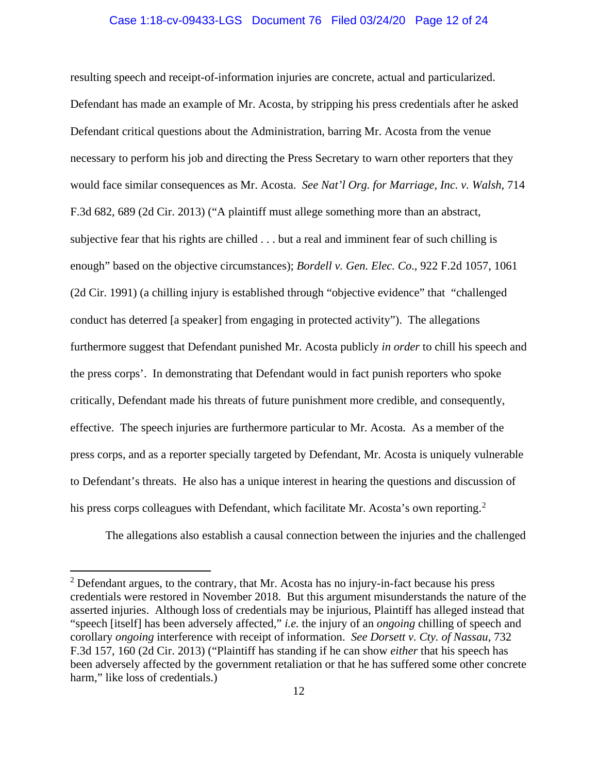### Case 1:18-cv-09433-LGS Document 76 Filed 03/24/20 Page 12 of 24

resulting speech and receipt-of-information injuries are concrete, actual and particularized. Defendant has made an example of Mr. Acosta, by stripping his press credentials after he asked Defendant critical questions about the Administration, barring Mr. Acosta from the venue necessary to perform his job and directing the Press Secretary to warn other reporters that they would face similar consequences as Mr. Acosta. *See Nat'l Org. for Marriage, Inc. v. Walsh*, 714 F.3d 682, 689 (2d Cir. 2013) ("A plaintiff must allege something more than an abstract, subjective fear that his rights are chilled . . . but a real and imminent fear of such chilling is enough" based on the objective circumstances); *Bordell v. Gen. Elec. Co*., 922 F.2d 1057, 1061 (2d Cir. 1991) (a chilling injury is established through "objective evidence" that "challenged conduct has deterred [a speaker] from engaging in protected activity"). The allegations furthermore suggest that Defendant punished Mr. Acosta publicly *in order* to chill his speech and the press corps'. In demonstrating that Defendant would in fact punish reporters who spoke critically, Defendant made his threats of future punishment more credible, and consequently, effective. The speech injuries are furthermore particular to Mr. Acosta. As a member of the press corps, and as a reporter specially targeted by Defendant, Mr. Acosta is uniquely vulnerable to Defendant's threats. He also has a unique interest in hearing the questions and discussion of his press corps colleagues with Defendant, which facilitate Mr. Acosta's own reporting.<sup>2</sup>

The allegations also establish a causal connection between the injuries and the challenged

 $2$  Defendant argues, to the contrary, that Mr. Acosta has no injury-in-fact because his press credentials were restored in November 2018. But this argument misunderstands the nature of the asserted injuries. Although loss of credentials may be injurious, Plaintiff has alleged instead that "speech [itself] has been adversely affected," *i.e.* the injury of an *ongoing* chilling of speech and corollary *ongoing* interference with receipt of information. *See Dorsett v. Cty. of Nassau*, 732 F.3d 157, 160 (2d Cir. 2013) ("Plaintiff has standing if he can show *either* that his speech has been adversely affected by the government retaliation or that he has suffered some other concrete harm," like loss of credentials.)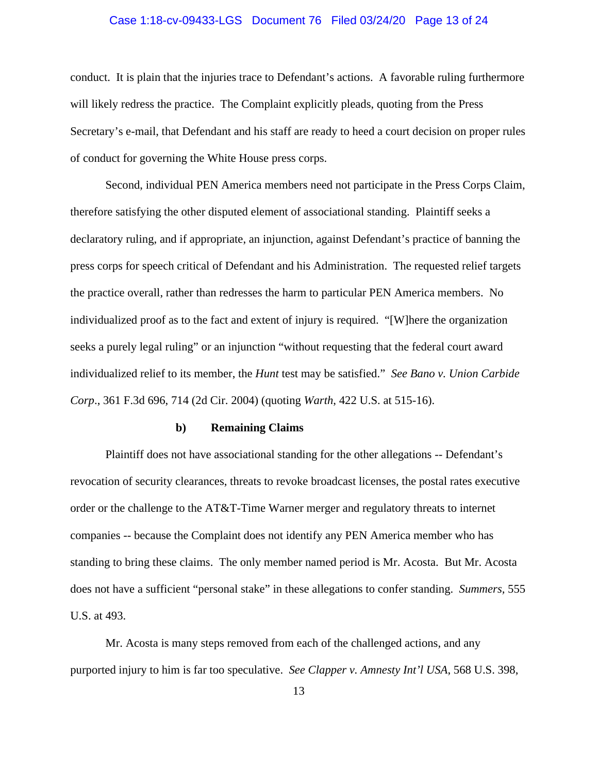## Case 1:18-cv-09433-LGS Document 76 Filed 03/24/20 Page 13 of 24

conduct. It is plain that the injuries trace to Defendant's actions. A favorable ruling furthermore will likely redress the practice. The Complaint explicitly pleads, quoting from the Press Secretary's e-mail, that Defendant and his staff are ready to heed a court decision on proper rules of conduct for governing the White House press corps.

Second, individual PEN America members need not participate in the Press Corps Claim, therefore satisfying the other disputed element of associational standing. Plaintiff seeks a declaratory ruling, and if appropriate, an injunction, against Defendant's practice of banning the press corps for speech critical of Defendant and his Administration. The requested relief targets the practice overall, rather than redresses the harm to particular PEN America members. No individualized proof as to the fact and extent of injury is required. "[W]here the organization seeks a purely legal ruling" or an injunction "without requesting that the federal court award individualized relief to its member, the *Hunt* test may be satisfied." *See Bano v. Union Carbide Corp*., 361 F.3d 696, 714 (2d Cir. 2004) (quoting *Warth*, 422 U.S. at 515-16).

#### **b) Remaining Claims**

Plaintiff does not have associational standing for the other allegations -- Defendant's revocation of security clearances, threats to revoke broadcast licenses, the postal rates executive order or the challenge to the AT&T-Time Warner merger and regulatory threats to internet companies -- because the Complaint does not identify any PEN America member who has standing to bring these claims. The only member named period is Mr. Acosta. But Mr. Acosta does not have a sufficient "personal stake" in these allegations to confer standing. *Summers,* 555 U.S. at 493.

Mr. Acosta is many steps removed from each of the challenged actions, and any purported injury to him is far too speculative. *See Clapper v. Amnesty Int'l USA*, 568 U.S. 398,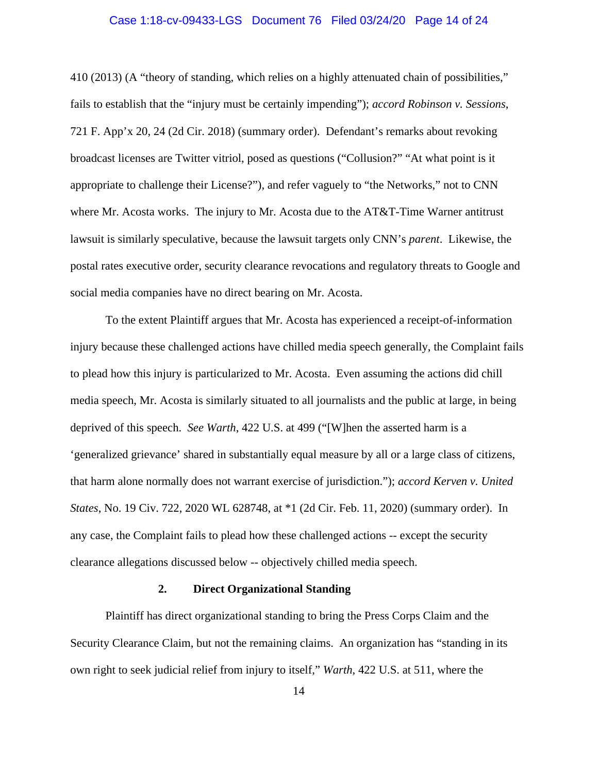## Case 1:18-cv-09433-LGS Document 76 Filed 03/24/20 Page 14 of 24

410 (2013) (A "theory of standing, which relies on a highly attenuated chain of possibilities," fails to establish that the "injury must be certainly impending"); *accord Robinson v. Sessions*, 721 F. App'x 20, 24 (2d Cir. 2018) (summary order).Defendant's remarks about revoking broadcast licenses are Twitter vitriol, posed as questions ("Collusion?" "At what point is it appropriate to challenge their License?"), and refer vaguely to "the Networks," not to CNN where Mr. Acosta works. The injury to Mr. Acosta due to the AT&T-Time Warner antitrust lawsuit is similarly speculative, because the lawsuit targets only CNN's *parent*. Likewise, the postal rates executive order, security clearance revocations and regulatory threats to Google and social media companies have no direct bearing on Mr. Acosta.

To the extent Plaintiff argues that Mr. Acosta has experienced a receipt-of-information injury because these challenged actions have chilled media speech generally, the Complaint fails to plead how this injury is particularized to Mr. Acosta. Even assuming the actions did chill media speech, Mr. Acosta is similarly situated to all journalists and the public at large, in being deprived of this speech. *See Warth*, 422 U.S. at 499 ("[W]hen the asserted harm is a 'generalized grievance' shared in substantially equal measure by all or a large class of citizens, that harm alone normally does not warrant exercise of jurisdiction."); *accord Kerven v. United States*, No. 19 Civ. 722, 2020 WL 628748, at \*1 (2d Cir. Feb. 11, 2020) (summary order). In any case, the Complaint fails to plead how these challenged actions -- except the security clearance allegations discussed below -- objectively chilled media speech.

# **2. Direct Organizational Standing**

Plaintiff has direct organizational standing to bring the Press Corps Claim and the Security Clearance Claim, but not the remaining claims. An organization has "standing in its own right to seek judicial relief from injury to itself," *Warth*, 422 U.S. at 511, where the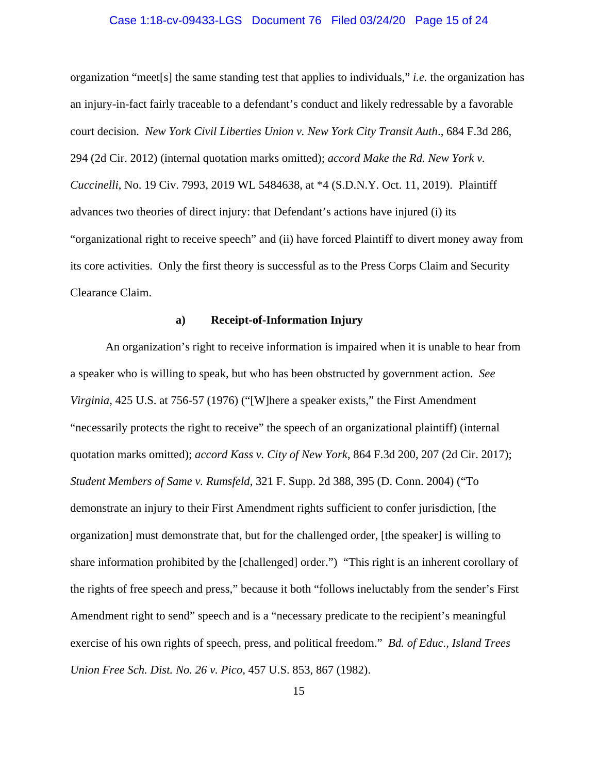## Case 1:18-cv-09433-LGS Document 76 Filed 03/24/20 Page 15 of 24

organization "meet[s] the same standing test that applies to individuals," *i.e.* the organization has an injury-in-fact fairly traceable to a defendant's conduct and likely redressable by a favorable court decision. *New York Civil Liberties Union v. New York City Transit Auth*., 684 F.3d 286, 294 (2d Cir. 2012) (internal quotation marks omitted); *accord Make the Rd. New York v. Cuccinelli*, No. 19 Civ. 7993, 2019 WL 5484638, at \*4 (S.D.N.Y. Oct. 11, 2019). Plaintiff advances two theories of direct injury: that Defendant's actions have injured (i) its "organizational right to receive speech" and (ii) have forced Plaintiff to divert money away from its core activities. Only the first theory is successful as to the Press Corps Claim and Security Clearance Claim.

# **a) Receipt-of-Information Injury**

An organization's right to receive information is impaired when it is unable to hear from a speaker who is willing to speak, but who has been obstructed by government action. *See Virginia,* 425 U.S. at 756-57 (1976) ("[W]here a speaker exists," the First Amendment "necessarily protects the right to receive" the speech of an organizational plaintiff) (internal quotation marks omitted); *accord Kass v. City of New York*, 864 F.3d 200, 207 (2d Cir. 2017); *Student Members of Same v. Rumsfeld*, 321 F. Supp. 2d 388, 395 (D. Conn. 2004) ("To demonstrate an injury to their First Amendment rights sufficient to confer jurisdiction, [the organization] must demonstrate that, but for the challenged order, [the speaker] is willing to share information prohibited by the [challenged] order.") "This right is an inherent corollary of the rights of free speech and press," because it both "follows ineluctably from the sender's First Amendment right to send" speech and is a "necessary predicate to the recipient's meaningful exercise of his own rights of speech, press, and political freedom." *Bd. of Educ., Island Trees Union Free Sch. Dist. No. 26 v. Pico*, 457 U.S. 853, 867 (1982).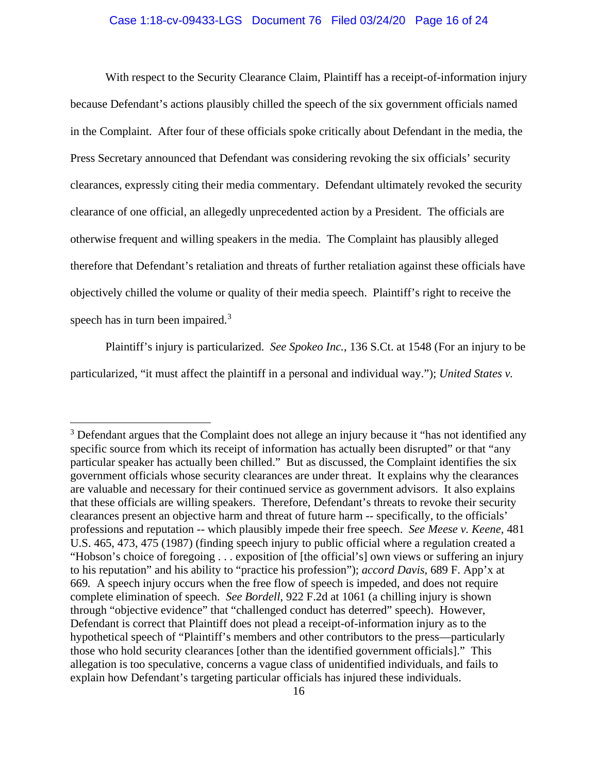## Case 1:18-cv-09433-LGS Document 76 Filed 03/24/20 Page 16 of 24

With respect to the Security Clearance Claim, Plaintiff has a receipt-of-information injury because Defendant's actions plausibly chilled the speech of the six government officials named in the Complaint. After four of these officials spoke critically about Defendant in the media, the Press Secretary announced that Defendant was considering revoking the six officials' security clearances, expressly citing their media commentary. Defendant ultimately revoked the security clearance of one official, an allegedly unprecedented action by a President. The officials are otherwise frequent and willing speakers in the media. The Complaint has plausibly alleged therefore that Defendant's retaliation and threats of further retaliation against these officials have objectively chilled the volume or quality of their media speech. Plaintiff's right to receive the speech has in turn been impaired.<sup>3</sup>

Plaintiff's injury is particularized. *See Spokeo Inc.*, 136 S.Ct. at 1548 (For an injury to be particularized, "it must affect the plaintiff in a personal and individual way."); *United States v.* 

 $3$  Defendant argues that the Complaint does not allege an injury because it "has not identified any specific source from which its receipt of information has actually been disrupted" or that "any particular speaker has actually been chilled." But as discussed, the Complaint identifies the six government officials whose security clearances are under threat. It explains why the clearances are valuable and necessary for their continued service as government advisors. It also explains that these officials are willing speakers. Therefore, Defendant's threats to revoke their security clearances present an objective harm and threat of future harm -- specifically, to the officials' professions and reputation -- which plausibly impede their free speech. *See Meese v. Keene*, 481 U.S. 465, 473, 475 (1987) (finding speech injury to public official where a regulation created a "Hobson's choice of foregoing . . . exposition of [the official's] own views or suffering an injury to his reputation" and his ability to "practice his profession"); *accord Davis*, 689 F. App'x at 669*.* A speech injury occurs when the free flow of speech is impeded, and does not require complete elimination of speech. *See Bordell*, 922 F.2d at 1061 (a chilling injury is shown through "objective evidence" that "challenged conduct has deterred" speech). However, Defendant is correct that Plaintiff does not plead a receipt-of-information injury as to the hypothetical speech of "Plaintiff's members and other contributors to the press—particularly those who hold security clearances [other than the identified government officials]." This allegation is too speculative, concerns a vague class of unidentified individuals, and fails to explain how Defendant's targeting particular officials has injured these individuals.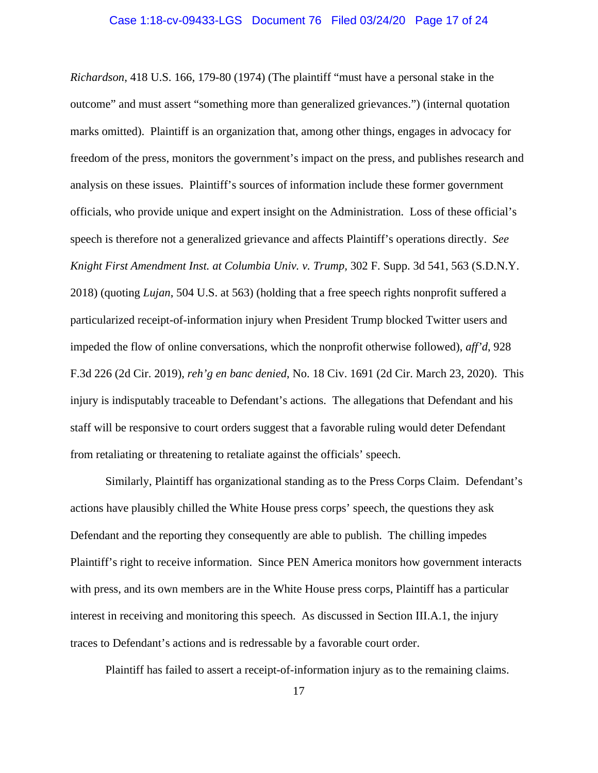*Richardson*, 418 U.S. 166, 179-80 (1974) (The plaintiff "must have a personal stake in the outcome" and must assert "something more than generalized grievances.") (internal quotation marks omitted). Plaintiff is an organization that, among other things, engages in advocacy for freedom of the press, monitors the government's impact on the press, and publishes research and analysis on these issues. Plaintiff's sources of information include these former government officials, who provide unique and expert insight on the Administration. Loss of these official's speech is therefore not a generalized grievance and affects Plaintiff's operations directly. *See Knight First Amendment Inst. at Columbia Univ. v. Trump,* 302 F. Supp. 3d 541, 563 (S.D.N.Y. 2018) (quoting *Lujan*, 504 U.S. at 563) (holding that a free speech rights nonprofit suffered a particularized receipt-of-information injury when President Trump blocked Twitter users and impeded the flow of online conversations, which the nonprofit otherwise followed), *aff'd*, 928 F.3d 226 (2d Cir. 2019), *reh'g en banc denied*, No. 18 Civ. 1691 (2d Cir. March 23, 2020). This injury is indisputably traceable to Defendant's actions. The allegations that Defendant and his staff will be responsive to court orders suggest that a favorable ruling would deter Defendant from retaliating or threatening to retaliate against the officials' speech.

Similarly, Plaintiff has organizational standing as to the Press Corps Claim. Defendant's actions have plausibly chilled the White House press corps' speech, the questions they ask Defendant and the reporting they consequently are able to publish. The chilling impedes Plaintiff's right to receive information. Since PEN America monitors how government interacts with press, and its own members are in the White House press corps, Plaintiff has a particular interest in receiving and monitoring this speech. As discussed in Section III.A.1, the injury traces to Defendant's actions and is redressable by a favorable court order.

Plaintiff has failed to assert a receipt-of-information injury as to the remaining claims.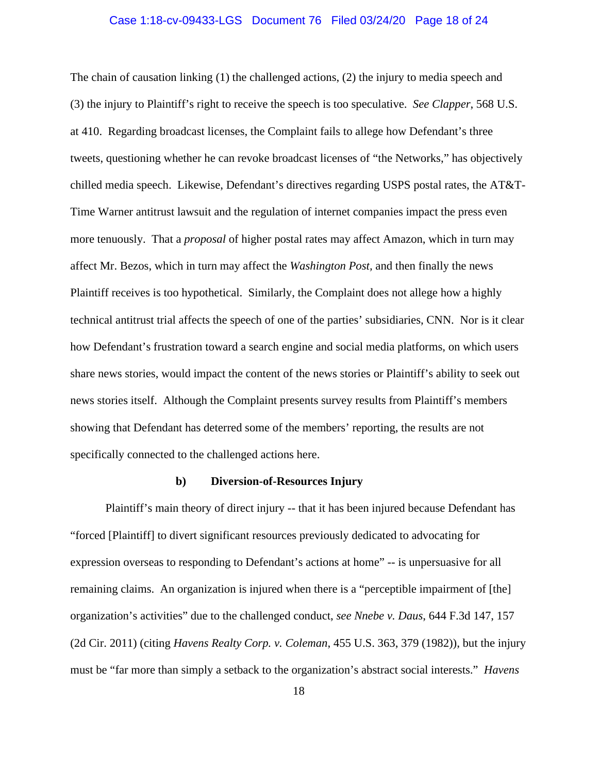## Case 1:18-cv-09433-LGS Document 76 Filed 03/24/20 Page 18 of 24

The chain of causation linking (1) the challenged actions, (2) the injury to media speech and (3) the injury to Plaintiff's right to receive the speech is too speculative. *See Clapper*, 568 U.S. at 410.Regarding broadcast licenses, the Complaint fails to allege how Defendant's three tweets, questioning whether he can revoke broadcast licenses of "the Networks," has objectively chilled media speech. Likewise, Defendant's directives regarding USPS postal rates, the AT&T-Time Warner antitrust lawsuit and the regulation of internet companies impact the press even more tenuously. That a *proposal* of higher postal rates may affect Amazon, which in turn may affect Mr. Bezos, which in turn may affect the *Washington Post,* and then finally the news Plaintiff receives is too hypothetical. Similarly, the Complaint does not allege how a highly technical antitrust trial affects the speech of one of the parties' subsidiaries, CNN. Nor is it clear how Defendant's frustration toward a search engine and social media platforms, on which users share news stories, would impact the content of the news stories or Plaintiff's ability to seek out news stories itself. Although the Complaint presents survey results from Plaintiff's members showing that Defendant has deterred some of the members' reporting, the results are not specifically connected to the challenged actions here.

#### **b) Diversion-of-Resources Injury**

Plaintiff's main theory of direct injury -- that it has been injured because Defendant has "forced [Plaintiff] to divert significant resources previously dedicated to advocating for expression overseas to responding to Defendant's actions at home" -- is unpersuasive for all remaining claims. An organization is injured when there is a "perceptible impairment of [the] organization's activities" due to the challenged conduct, *see Nnebe v. Daus*, 644 F.3d 147, 157 (2d Cir. 2011) (citing *Havens Realty Corp. v. Coleman*, 455 U.S. 363, 379 (1982)), but the injury must be "far more than simply a setback to the organization's abstract social interests." *Havens*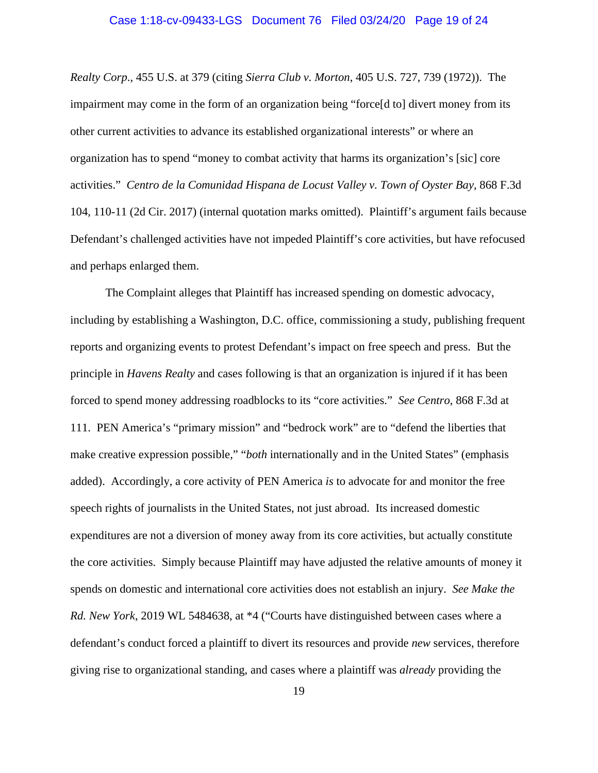## Case 1:18-cv-09433-LGS Document 76 Filed 03/24/20 Page 19 of 24

*Realty Corp*., 455 U.S. at 379 (citing *Sierra Club v. Morton*, 405 U.S. 727, 739 (1972)). The impairment may come in the form of an organization being "force[d to] divert money from its other current activities to advance its established organizational interests" or where an organization has to spend "money to combat activity that harms its organization's [sic] core activities." *Centro de la Comunidad Hispana de Locust Valley v. Town of Oyster Bay*, 868 F.3d 104, 110-11 (2d Cir. 2017) (internal quotation marks omitted). Plaintiff's argument fails because Defendant's challenged activities have not impeded Plaintiff's core activities, but have refocused and perhaps enlarged them.

The Complaint alleges that Plaintiff has increased spending on domestic advocacy, including by establishing a Washington, D.C. office, commissioning a study, publishing frequent reports and organizing events to protest Defendant's impact on free speech and press. But the principle in *Havens Realty* and cases following is that an organization is injured if it has been forced to spend money addressing roadblocks to its "core activities." *See Centro*, 868 F.3d at 111. PEN America's "primary mission" and "bedrock work" are to "defend the liberties that make creative expression possible," "*both* internationally and in the United States" (emphasis added). Accordingly, a core activity of PEN America *is* to advocate for and monitor the free speech rights of journalists in the United States, not just abroad. Its increased domestic expenditures are not a diversion of money away from its core activities, but actually constitute the core activities.Simply because Plaintiff may have adjusted the relative amounts of money it spends on domestic and international core activities does not establish an injury. *See Make the Rd. New York*, 2019 WL 5484638, at \*4 ("Courts have distinguished between cases where a defendant's conduct forced a plaintiff to divert its resources and provide *new* services, therefore giving rise to organizational standing, and cases where a plaintiff was *already* providing the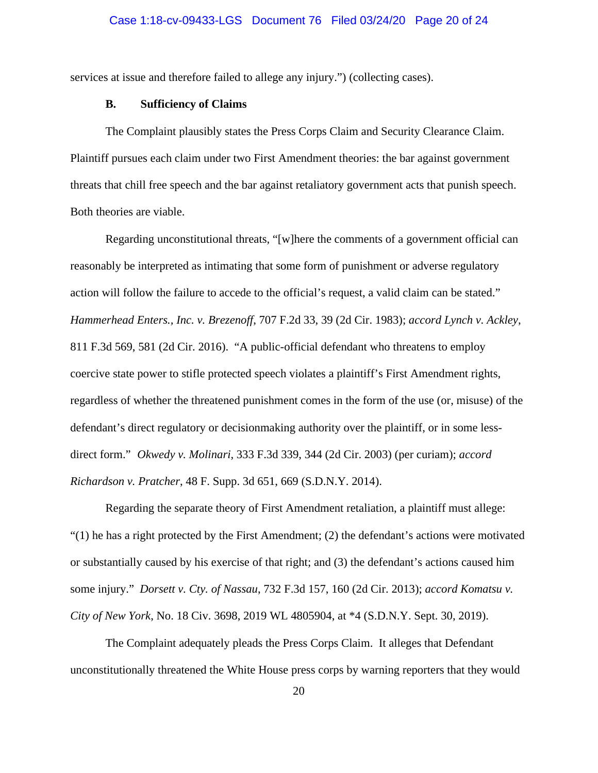services at issue and therefore failed to allege any injury.") (collecting cases).

## **B. Sufficiency of Claims**

The Complaint plausibly states the Press Corps Claim and Security Clearance Claim. Plaintiff pursues each claim under two First Amendment theories: the bar against government threats that chill free speech and the bar against retaliatory government acts that punish speech. Both theories are viable.

Regarding unconstitutional threats, "[w]here the comments of a government official can reasonably be interpreted as intimating that some form of punishment or adverse regulatory action will follow the failure to accede to the official's request, a valid claim can be stated." *Hammerhead Enters., Inc. v. Brezenoff*, 707 F.2d 33, 39 (2d Cir. 1983); *accord Lynch v. Ackley*, 811 F.3d 569, 581 (2d Cir. 2016). "A public-official defendant who threatens to employ coercive state power to stifle protected speech violates a plaintiff's First Amendment rights, regardless of whether the threatened punishment comes in the form of the use (or, misuse) of the defendant's direct regulatory or decisionmaking authority over the plaintiff, or in some lessdirect form." *Okwedy v. Molinari*, 333 F.3d 339, 344 (2d Cir. 2003) (per curiam); *accord Richardson v. Pratcher*, 48 F. Supp. 3d 651, 669 (S.D.N.Y. 2014).

Regarding the separate theory of First Amendment retaliation, a plaintiff must allege:  $(1)$  he has a right protected by the First Amendment; (2) the defendant's actions were motivated or substantially caused by his exercise of that right; and (3) the defendant's actions caused him some injury." *Dorsett v. Cty. of Nassau*, 732 F.3d 157, 160 (2d Cir. 2013); *accord Komatsu v. City of New York*, No. 18 Civ. 3698, 2019 WL 4805904, at \*4 (S.D.N.Y. Sept. 30, 2019).

The Complaint adequately pleads the Press Corps Claim. It alleges that Defendant unconstitutionally threatened the White House press corps by warning reporters that they would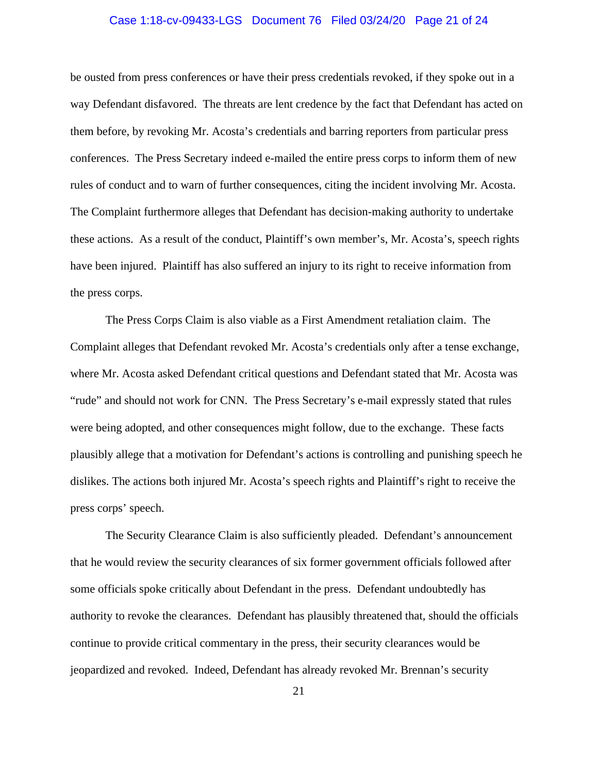## Case 1:18-cv-09433-LGS Document 76 Filed 03/24/20 Page 21 of 24

be ousted from press conferences or have their press credentials revoked, if they spoke out in a way Defendant disfavored. The threats are lent credence by the fact that Defendant has acted on them before, by revoking Mr. Acosta's credentials and barring reporters from particular press conferences. The Press Secretary indeed e-mailed the entire press corps to inform them of new rules of conduct and to warn of further consequences, citing the incident involving Mr. Acosta. The Complaint furthermore alleges that Defendant has decision-making authority to undertake these actions. As a result of the conduct, Plaintiff's own member's, Mr. Acosta's, speech rights have been injured. Plaintiff has also suffered an injury to its right to receive information from the press corps.

The Press Corps Claim is also viable as a First Amendment retaliation claim. The Complaint alleges that Defendant revoked Mr. Acosta's credentials only after a tense exchange, where Mr. Acosta asked Defendant critical questions and Defendant stated that Mr. Acosta was "rude" and should not work for CNN. The Press Secretary's e-mail expressly stated that rules were being adopted, and other consequences might follow, due to the exchange. These facts plausibly allege that a motivation for Defendant's actions is controlling and punishing speech he dislikes. The actions both injured Mr. Acosta's speech rights and Plaintiff's right to receive the press corps' speech.

The Security Clearance Claim is also sufficiently pleaded. Defendant's announcement that he would review the security clearances of six former government officials followed after some officials spoke critically about Defendant in the press. Defendant undoubtedly has authority to revoke the clearances. Defendant has plausibly threatened that, should the officials continue to provide critical commentary in the press, their security clearances would be jeopardized and revoked. Indeed, Defendant has already revoked Mr. Brennan's security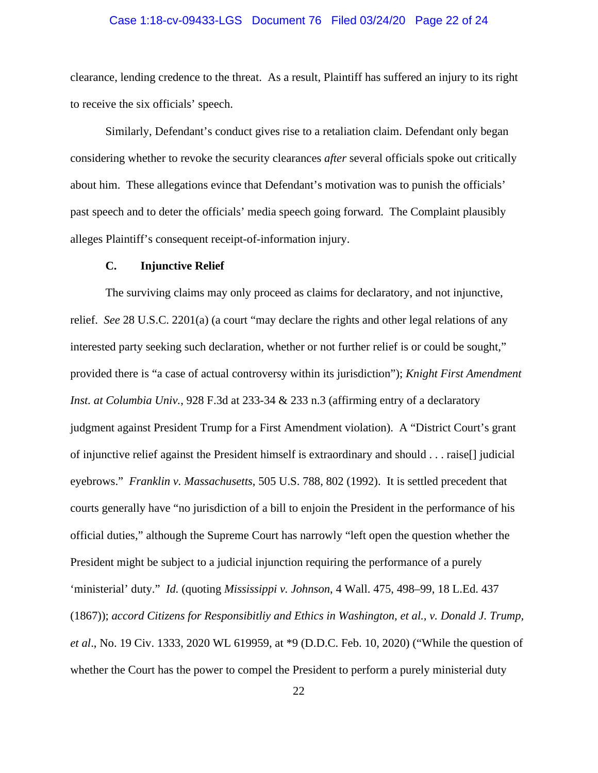## Case 1:18-cv-09433-LGS Document 76 Filed 03/24/20 Page 22 of 24

clearance, lending credence to the threat. As a result, Plaintiff has suffered an injury to its right to receive the six officials' speech.

Similarly, Defendant's conduct gives rise to a retaliation claim. Defendant only began considering whether to revoke the security clearances *after* several officials spoke out critically about him. These allegations evince that Defendant's motivation was to punish the officials' past speech and to deter the officials' media speech going forward. The Complaint plausibly alleges Plaintiff's consequent receipt-of-information injury.

#### **C. Injunctive Relief**

The surviving claims may only proceed as claims for declaratory, and not injunctive, relief. *See* 28 U.S.C. 2201(a) (a court "may declare the rights and other legal relations of any interested party seeking such declaration, whether or not further relief is or could be sought," provided there is "a case of actual controversy within its jurisdiction"); *Knight First Amendment Inst. at Columbia Univ.*, 928 F.3d at 233-34 & 233 n.3 (affirming entry of a declaratory judgment against President Trump for a First Amendment violation). A "District Court's grant of injunctive relief against the President himself is extraordinary and should . . . raise[] judicial eyebrows." *Franklin v. Massachusetts*, 505 U.S. 788, 802 (1992). It is settled precedent that courts generally have "no jurisdiction of a bill to enjoin the President in the performance of his official duties," although the Supreme Court has narrowly "left open the question whether the President might be subject to a judicial injunction requiring the performance of a purely 'ministerial' duty." *Id.* (quoting *Mississippi v. Johnson*, 4 Wall. 475, 498–99, 18 L.Ed. 437 (1867)); *accord Citizens for Responsibitliy and Ethics in Washington, et al., v. Donald J. Trump, et al*., No. 19 Civ. 1333, 2020 WL 619959, at \*9 (D.D.C. Feb. 10, 2020) ("While the question of whether the Court has the power to compel the President to perform a purely ministerial duty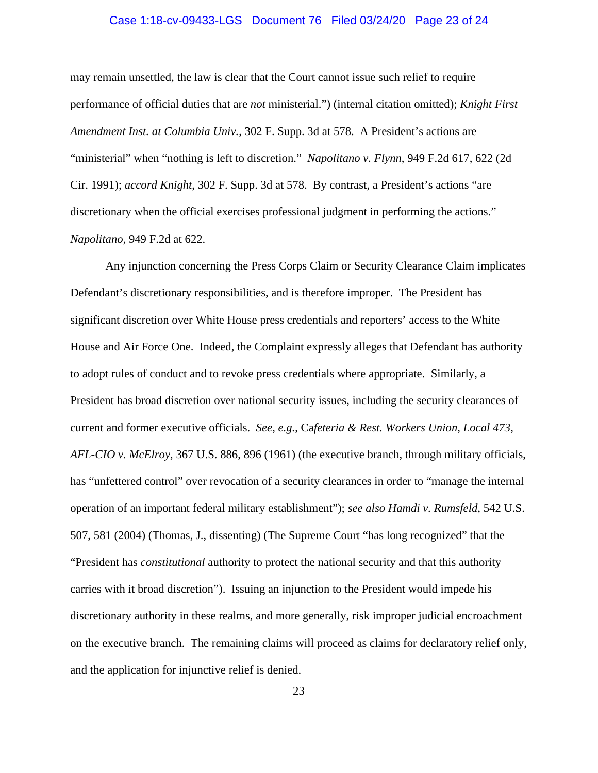## Case 1:18-cv-09433-LGS Document 76 Filed 03/24/20 Page 23 of 24

may remain unsettled, the law is clear that the Court cannot issue such relief to require performance of official duties that are *not* ministerial.") (internal citation omitted); *Knight First Amendment Inst. at Columbia Univ.*, 302 F. Supp. 3d at 578. A President's actions are "ministerial" when "nothing is left to discretion." *Napolitano v. Flynn*, 949 F.2d 617, 622 (2d Cir. 1991); *accord Knight*, 302 F. Supp. 3d at 578. By contrast, a President's actions "are discretionary when the official exercises professional judgment in performing the actions." *Napolitano*, 949 F.2d at 622.

Any injunction concerning the Press Corps Claim or Security Clearance Claim implicates Defendant's discretionary responsibilities, and is therefore improper. The President has significant discretion over White House press credentials and reporters' access to the White House and Air Force One. Indeed, the Complaint expressly alleges that Defendant has authority to adopt rules of conduct and to revoke press credentials where appropriate. Similarly, a President has broad discretion over national security issues, including the security clearances of current and former executive officials. *See*, *e.g.*, Ca*feteria & Rest. Workers Union, Local 473, AFL-CIO v. McElroy*, 367 U.S. 886, 896 (1961) (the executive branch, through military officials, has "unfettered control" over revocation of a security clearances in order to "manage the internal operation of an important federal military establishment"); *see also Hamdi v. Rumsfeld*, 542 U.S. 507, 581 (2004) (Thomas, J., dissenting) (The Supreme Court "has long recognized" that the "President has *constitutional* authority to protect the national security and that this authority carries with it broad discretion"). Issuing an injunction to the President would impede his discretionary authority in these realms, and more generally, risk improper judicial encroachment on the executive branch. The remaining claims will proceed as claims for declaratory relief only, and the application for injunctive relief is denied.